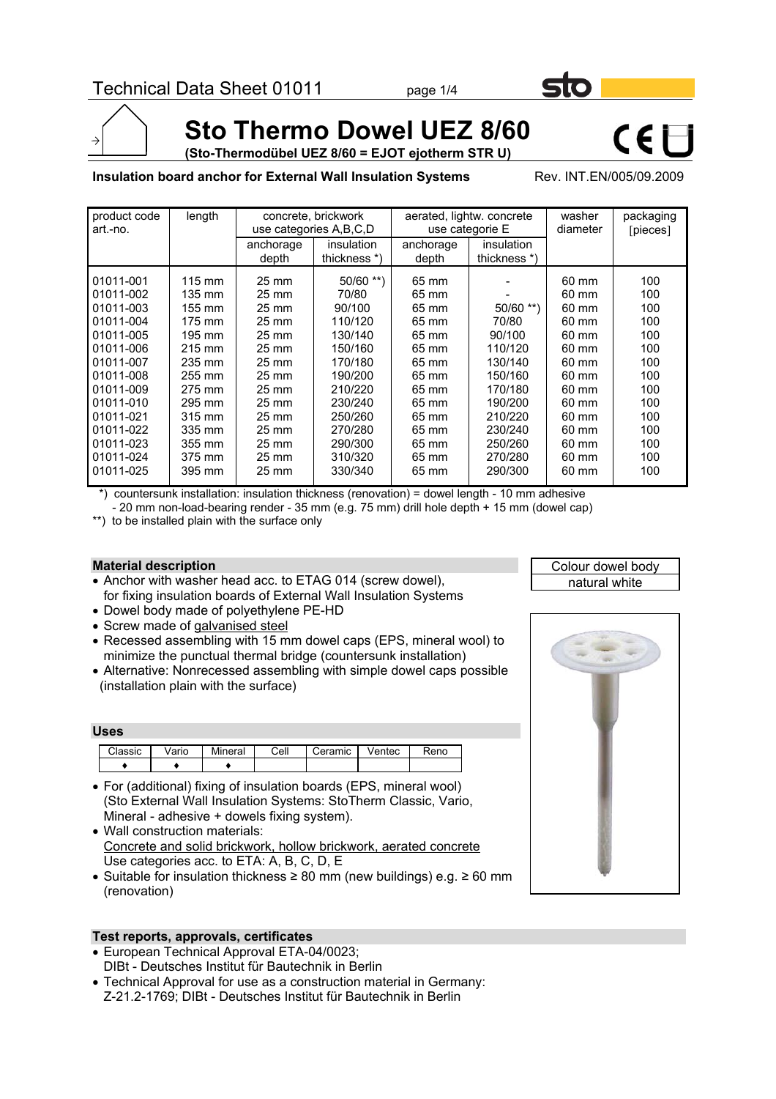

**(Sto-Thermodübel UEZ 8/60 = EJOT ejotherm STR U)**

#### **Insulation board anchor for External Wall Insulation Systems** Rev. INT.EN/005/09.2009

 $C \in \Box$ 

| product code<br>art.-no. | length           | aerated, lightw. concrete<br>concrete, brickwork<br>use categories A, B, C, D<br>use categorie E |                   | washer<br>diameter | packaging<br>[pieces] |                 |     |
|--------------------------|------------------|--------------------------------------------------------------------------------------------------|-------------------|--------------------|-----------------------|-----------------|-----|
|                          |                  | anchorage                                                                                        | <i>insulation</i> | anchorage          | insulation            |                 |     |
|                          |                  | depth                                                                                            | thickness *)      | depth              | thickness *)          |                 |     |
| 01011-001                | $115 \text{ mm}$ | $25 \text{ mm}$                                                                                  | $50/60$ **)       | 65 mm              |                       | 60 mm           | 100 |
| 01011-002                | 135 mm           | $25 \text{ mm}$                                                                                  | 70/80             | 65 mm              |                       | 60 mm           | 100 |
| 01011-003                | 155 mm           | 25 mm                                                                                            | 90/100            | 65 mm              | $50/60$ **)           | 60 mm           | 100 |
| 01011-004                | 175 mm           | $25 \text{ mm}$                                                                                  | 110/120           | 65 mm              | 70/80                 | 60 mm           | 100 |
| 01011-005                | 195 mm           | $25 \text{ mm}$                                                                                  | 130/140           | 65 mm              | 90/100                | 60 mm           | 100 |
| 01011-006                | 215 mm           | 25 mm                                                                                            | 150/160           | 65 mm              | 110/120               | 60 mm           | 100 |
| 01011-007                | 235 mm           | 25 mm                                                                                            | 170/180           | 65 mm              | 130/140               | 60 mm           | 100 |
| 01011-008                | 255 mm           | $25 \text{ mm}$                                                                                  | 190/200           | 65 mm              | 150/160               | 60 mm           | 100 |
| 01011-009                | 275 mm           | $25 \text{ mm}$                                                                                  | 210/220           | 65 mm              | 170/180               | 60 mm           | 100 |
| 01011-010                | 295 mm           | 25 mm                                                                                            | 230/240           | 65 mm              | 190/200               | 60 mm           | 100 |
| 01011-021                | 315 mm           | $25 \text{ mm}$                                                                                  | 250/260           | 65 mm              | 210/220               | $60 \text{ mm}$ | 100 |
| 01011-022                | 335 mm           | 25 mm                                                                                            | 270/280           | 65 mm              | 230/240               | 60 mm           | 100 |
| 01011-023                | 355 mm           | 25 mm                                                                                            | 290/300           | 65 mm              | 250/260               | 60 mm           | 100 |
| 01011-024                | 375 mm           | 25 mm                                                                                            | 310/320           | 65 mm              | 270/280               | 60 mm           | 100 |
| 01011-025                | 395 mm           | 25 mm                                                                                            | 330/340           | 65 mm              | 290/300               | 60 mm           | 100 |

\*) countersunk installation: insulation thickness (renovation) = dowel length - 10 mm adhesive

- 20 mm non-load-bearing render - 35 mm (e.g. 75 mm) drill hole depth + 15 mm (dowel cap)

\*\*) to be installed plain with the surface only

### **Material description**

- Anchor with washer head acc. to ETAG 014 (screw dowel), for fixing insulation boards of External Wall Insulation Systems
- Dowel body made of polyethylene PE-HD
- Screw made of galvanised steel
- Recessed assembling with 15 mm dowel caps (EPS, mineral wool) to minimize the punctual thermal bridge (countersunk installation)
- Alternative: Nonrecessed assembling with simple dowel caps possible (installation plain with the surface)

#### **Uses**

| <b>Moorie</b> | Vario | .<br>Mineral | Cell | Ceramic | Ventec | ≀eno |
|---------------|-------|--------------|------|---------|--------|------|
|               |       |              |      |         |        |      |

- For (additional) fixing of insulation boards (EPS, mineral wool) (Sto External Wall Insulation Systems: StoTherm Classic, Vario, Mineral - adhesive + dowels fixing system).
- Wall construction materials: Concrete and solid brickwork, hollow brickwork, aerated concrete Use categories acc. to ETA: A, B, C, D, E
- Suitable for insulation thickness ≥ 80 mm (new buildings) e.g. ≥ 60 mm (renovation)

#### **Test reports, approvals, certificates**

- European Technical Approval ETA-04/0023; DIBt - Deutsches Institut für Bautechnik in Berlin
- Technical Approval for use as a construction material in Germany: Z-21.2-1769; DIBt - Deutsches Institut für Bautechnik in Berlin



Colour dowel body natural white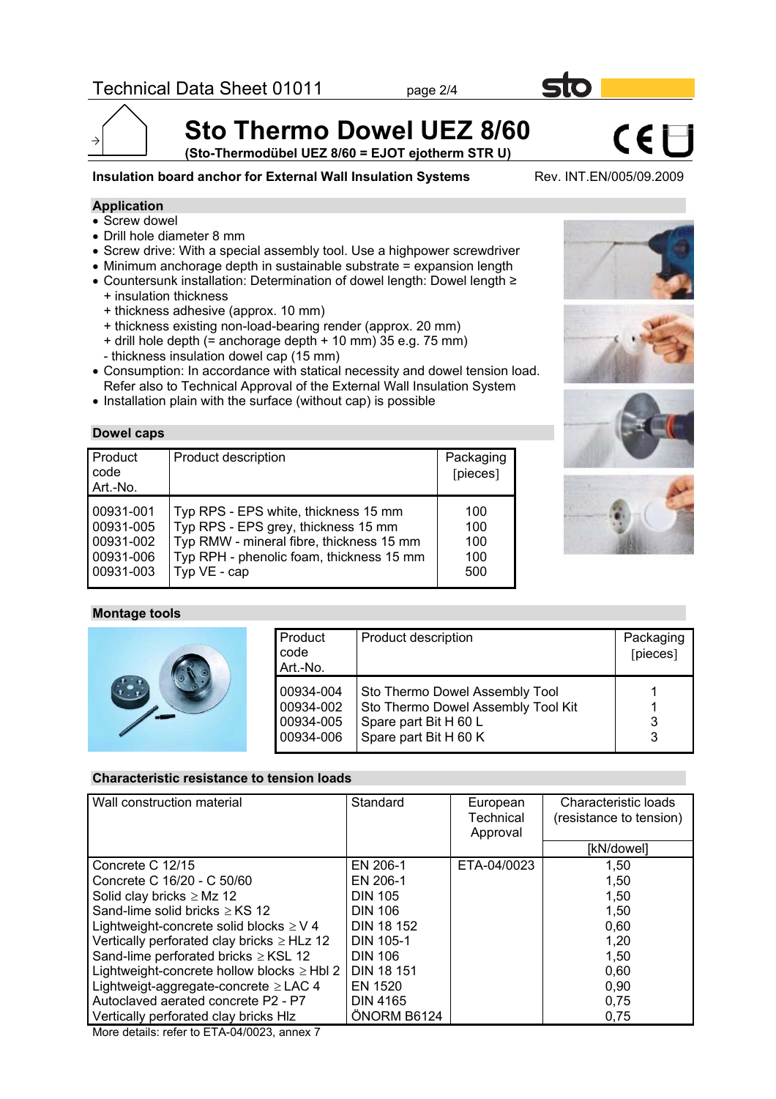

**(Sto-Thermodübel UEZ 8/60 = EJOT ejotherm STR U)**

**Insulation board anchor for External Wall Insulation Systems** Rev. INT.EN/005/09.2009

CEE

## **Application**

- Screw dowel
- Drill hole diameter 8 mm
- Screw drive: With a special assembly tool. Use a highpower screwdriver
- Minimum anchorage depth in sustainable substrate = expansion length
- Countersunk installation: Determination of dowel length: Dowel length ≥ + insulation thickness
	- + thickness adhesive (approx. 10 mm)
	- + thickness existing non-load-bearing render (approx. 20 mm)
	- $+$  drill hole depth (= anchorage depth  $+$  10 mm) 35 e.g. 75 mm)
	- thickness insulation dowel cap (15 mm)
- Consumption: In accordance with statical necessity and dowel tension load. Refer also to Technical Approval of the External Wall Insulation System
- Installation plain with the surface (without cap) is possible

#### **Dowel caps**

| Product<br>code<br>Art.-No. | Product description                      | Packaging<br>[pieces] |
|-----------------------------|------------------------------------------|-----------------------|
| 00931-001                   | Typ RPS - EPS white, thickness 15 mm     | 100                   |
| 00931-005                   | Typ RPS - EPS grey, thickness 15 mm      | 100                   |
| 00931-002                   | Typ RMW - mineral fibre, thickness 15 mm | 100                   |
| 00931-006                   | Typ RPH - phenolic foam, thickness 15 mm | 100                   |
| 00931-003                   | Typ VE - cap                             | 500                   |

#### **Montage tools**

| Product<br>code<br>Art.-No.                      | Product description                                                                                                    | Packaging<br>[pieces] |
|--------------------------------------------------|------------------------------------------------------------------------------------------------------------------------|-----------------------|
| 00934-004<br>00934-002<br>00934-005<br>00934-006 | Sto Thermo Dowel Assembly Tool<br>Sto Thermo Dowel Assembly Tool Kit<br>Spare part Bit H 60 L<br>Spare part Bit H 60 K | 3<br>3                |

### **Characteristic resistance to tension loads**

| Wall construction material                      | Standard          | European<br><b>Technical</b><br>Approval | Characteristic loads<br>(resistance to tension) |  |
|-------------------------------------------------|-------------------|------------------------------------------|-------------------------------------------------|--|
|                                                 |                   |                                          | [kN/dowel]                                      |  |
| Concrete C 12/15                                | EN 206-1          | ETA-04/0023                              | 1,50                                            |  |
| Concrete C 16/20 - C 50/60                      | EN 206-1          |                                          | 1,50                                            |  |
| Solid clay bricks $\geq$ Mz 12                  | <b>DIN 105</b>    |                                          | 1,50                                            |  |
| Sand-lime solid bricks $\ge$ KS 12              | <b>DIN 106</b>    |                                          | 1,50                                            |  |
| Lightweight-concrete solid blocks $\geq$ V 4    | <b>DIN 18 152</b> |                                          | 0,60                                            |  |
| Vertically perforated clay bricks $\geq$ HLz 12 | <b>DIN 105-1</b>  |                                          | 1,20                                            |  |
| Sand-lime perforated bricks $\geq$ KSL 12       | <b>DIN 106</b>    |                                          | 1,50                                            |  |
| Lightweight-concrete hollow blocks $\geq$ Hbl 2 | <b>DIN 18 151</b> |                                          | 0.60                                            |  |
| Lightweigt-aggregate-concrete $\geq$ LAC 4      | EN 1520           |                                          | 0,90                                            |  |
| Autoclaved aerated concrete P2 - P7             | <b>DIN 4165</b>   |                                          | 0,75                                            |  |
| Vertically perforated clay bricks HIz           | ONORM B6124       |                                          | 0,75                                            |  |

More details: refer to ETA-04/0023, annex 7







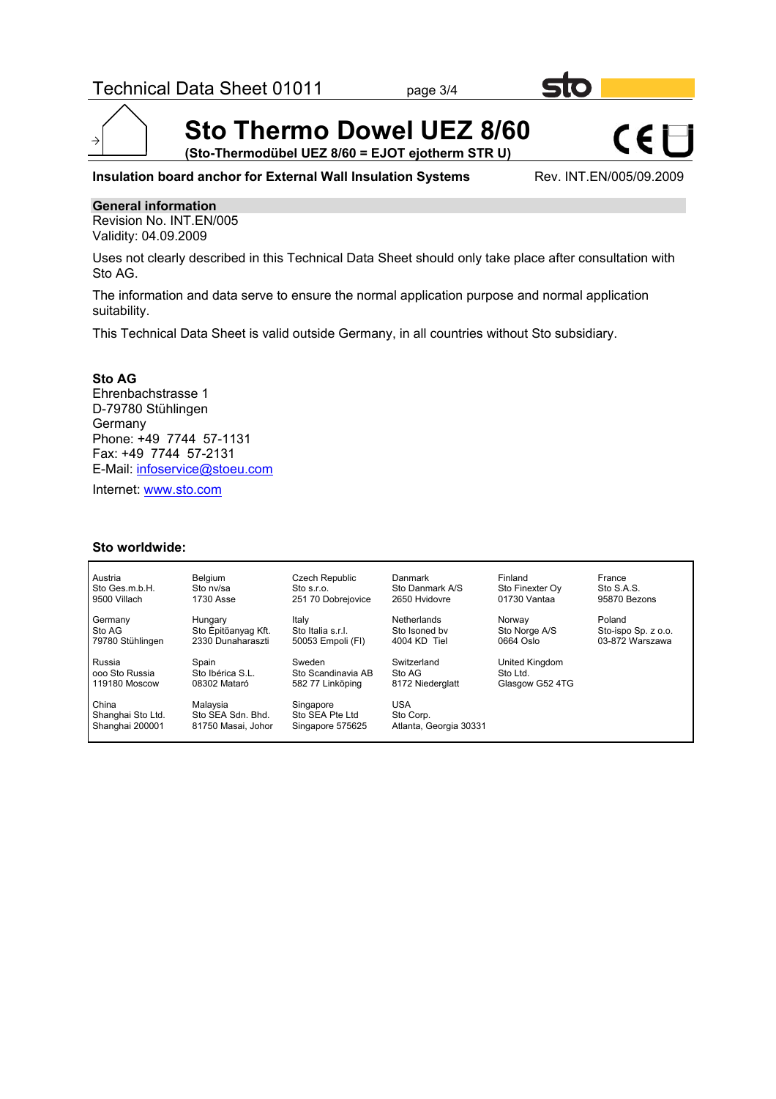

**(Sto-Thermodübel UEZ 8/60 = EJOT ejotherm STR U)**

**Insulation board anchor for External Wall Insulation Systems** Rev. INT.EN/005/09.2009

CEE

### **General information**

 $\rightarrow$ 

Revision No. INT.EN/005 Validity: 04.09.2009

Uses not clearly described in this Technical Data Sheet should only take place after consultation with Sto AG.

The information and data serve to ensure the normal application purpose and normal application suitability.

This Technical Data Sheet is valid outside Germany, in all countries without Sto subsidiary.

**Sto AG** Ehrenbachstrasse 1 D-79780 Stühlingen Germany Phone: +49 7744 57-1131 Fax: +49 7744 57-2131 E-Mail: infoservice@stoeu.com

Internet: www.sto.com

#### **Sto worldwide:**

| Austria                                       | <b>Belaium</b>                                      | Czech Republic                                   | Danmark                                           | Finland         | France              |
|-----------------------------------------------|-----------------------------------------------------|--------------------------------------------------|---------------------------------------------------|-----------------|---------------------|
| Sto Ges.m.b.H.                                | Sto ny/sa                                           | Sto s.r.o.                                       | Sto Danmark A/S                                   | Sto Finexter Ov | Sto S.A.S.          |
| 9500 Villach                                  | 1730 Asse                                           | 251 70 Dobrejovice                               | 2650 Hyidovre                                     | 01730 Vantaa    | 95870 Bezons        |
| Germany                                       | Hungary                                             | Italy                                            | Netherlands                                       | Norway          | Poland              |
| Sto AG                                        | Sto Epitöanyag Kft.                                 | Sto Italia s.r.l.                                | Sto Isoned by                                     | Sto Norge A/S   | Sto-ispo Sp. z o.o. |
| 79780 Stühlingen                              | 2330 Dunaharaszti                                   | 50053 Empoli (FI)                                | 4004 KD Tiel                                      | 0664 Oslo       | 03-872 Warszawa     |
| Russia                                        | Spain                                               | Sweden                                           | Switzerland                                       | United Kingdom  |                     |
| ooo Sto Russia                                | Sto Ibérica S.L.                                    | Sto Scandinavia AB                               | Sto AG                                            | Sto Ltd.        |                     |
| 119180 Moscow                                 | 08302 Mataró                                        | 582 77 Linköping                                 | 8172 Niederglatt                                  | Glasgow G52 4TG |                     |
| China<br>Shanghai Sto Ltd.<br>Shanghai 200001 | Malavsia<br>Sto SEA Sdn. Bhd.<br>81750 Masai, Johor | Singapore<br>Sto SEA Pte Ltd<br>Singapore 575625 | <b>USA</b><br>Sto Corp.<br>Atlanta, Georgia 30331 |                 |                     |